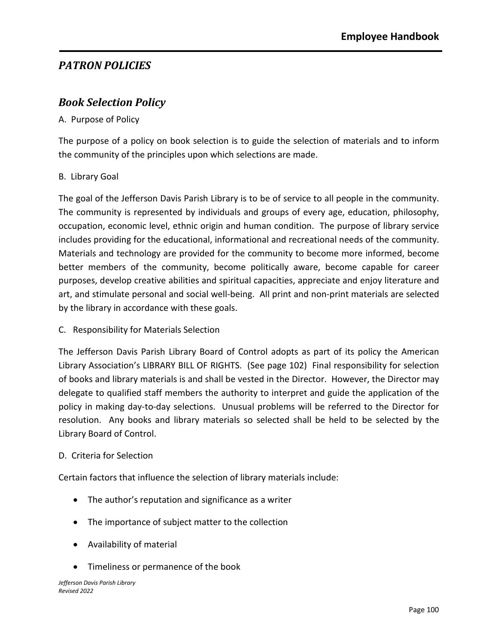# *PATRON POLICIES*

### *Book Selection Policy*

#### A. Purpose of Policy

The purpose of a policy on book selection is to guide the selection of materials and to inform the community of the principles upon which selections are made.

#### B. Library Goal

The goal of the Jefferson Davis Parish Library is to be of service to all people in the community. The community is represented by individuals and groups of every age, education, philosophy, occupation, economic level, ethnic origin and human condition. The purpose of library service includes providing for the educational, informational and recreational needs of the community. Materials and technology are provided for the community to become more informed, become better members of the community, become politically aware, become capable for career purposes, develop creative abilities and spiritual capacities, appreciate and enjoy literature and art, and stimulate personal and social well-being. All print and non-print materials are selected by the library in accordance with these goals.

C. Responsibility for Materials Selection

The Jefferson Davis Parish Library Board of Control adopts as part of its policy the American Library Association's LIBRARY BILL OF RIGHTS. (See page 102) Final responsibility for selection of books and library materials is and shall be vested in the Director. However, the Director may delegate to qualified staff members the authority to interpret and guide the application of the policy in making day-to-day selections. Unusual problems will be referred to the Director for resolution. Any books and library materials so selected shall be held to be selected by the Library Board of Control.

#### D. Criteria for Selection

Certain factors that influence the selection of library materials include:

- The author's reputation and significance as a writer
- The importance of subject matter to the collection
- Availability of material
- Timeliness or permanence of the book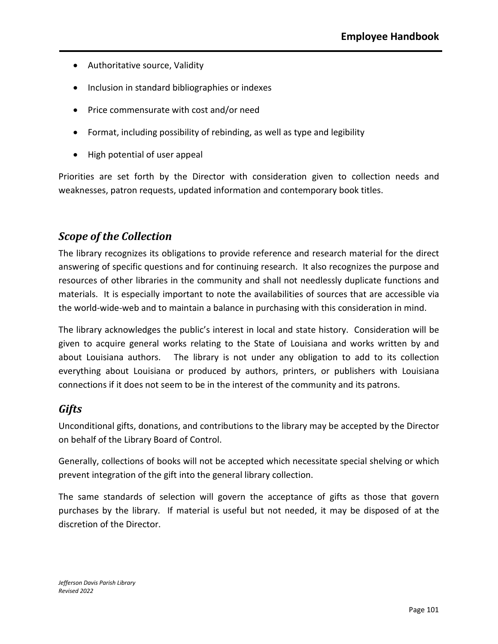- Authoritative source, Validity
- Inclusion in standard bibliographies or indexes
- Price commensurate with cost and/or need
- Format, including possibility of rebinding, as well as type and legibility
- High potential of user appeal

Priorities are set forth by the Director with consideration given to collection needs and weaknesses, patron requests, updated information and contemporary book titles.

### *Scope of the Collection*

The library recognizes its obligations to provide reference and research material for the direct answering of specific questions and for continuing research. It also recognizes the purpose and resources of other libraries in the community and shall not needlessly duplicate functions and materials. It is especially important to note the availabilities of sources that are accessible via the world-wide-web and to maintain a balance in purchasing with this consideration in mind.

The library acknowledges the public's interest in local and state history. Consideration will be given to acquire general works relating to the State of Louisiana and works written by and about Louisiana authors. The library is not under any obligation to add to its collection everything about Louisiana or produced by authors, printers, or publishers with Louisiana connections if it does not seem to be in the interest of the community and its patrons.

### *Gifts*

Unconditional gifts, donations, and contributions to the library may be accepted by the Director on behalf of the Library Board of Control.

Generally, collections of books will not be accepted which necessitate special shelving or which prevent integration of the gift into the general library collection.

The same standards of selection will govern the acceptance of gifts as those that govern purchases by the library. If material is useful but not needed, it may be disposed of at the discretion of the Director.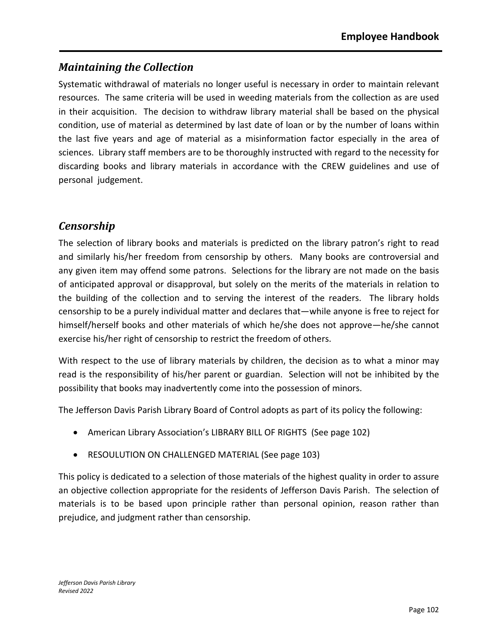# *Maintaining the Collection*

Systematic withdrawal of materials no longer useful is necessary in order to maintain relevant resources. The same criteria will be used in weeding materials from the collection as are used in their acquisition. The decision to withdraw library material shall be based on the physical condition, use of material as determined by last date of loan or by the number of loans within the last five years and age of material as a misinformation factor especially in the area of sciences. Library staff members are to be thoroughly instructed with regard to the necessity for discarding books and library materials in accordance with the CREW guidelines and use of personal judgement.

### *Censorship*

The selection of library books and materials is predicted on the library patron's right to read and similarly his/her freedom from censorship by others. Many books are controversial and any given item may offend some patrons. Selections for the library are not made on the basis of anticipated approval or disapproval, but solely on the merits of the materials in relation to the building of the collection and to serving the interest of the readers. The library holds censorship to be a purely individual matter and declares that—while anyone is free to reject for himself/herself books and other materials of which he/she does not approve—he/she cannot exercise his/her right of censorship to restrict the freedom of others.

With respect to the use of library materials by children, the decision as to what a minor may read is the responsibility of his/her parent or guardian. Selection will not be inhibited by the possibility that books may inadvertently come into the possession of minors.

The Jefferson Davis Parish Library Board of Control adopts as part of its policy the following:

- American Library Association's LIBRARY BILL OF RIGHTS (See page 102)
- RESOULUTION ON CHALLENGED MATERIAL (See page 103)

This policy is dedicated to a selection of those materials of the highest quality in order to assure an objective collection appropriate for the residents of Jefferson Davis Parish. The selection of materials is to be based upon principle rather than personal opinion, reason rather than prejudice, and judgment rather than censorship.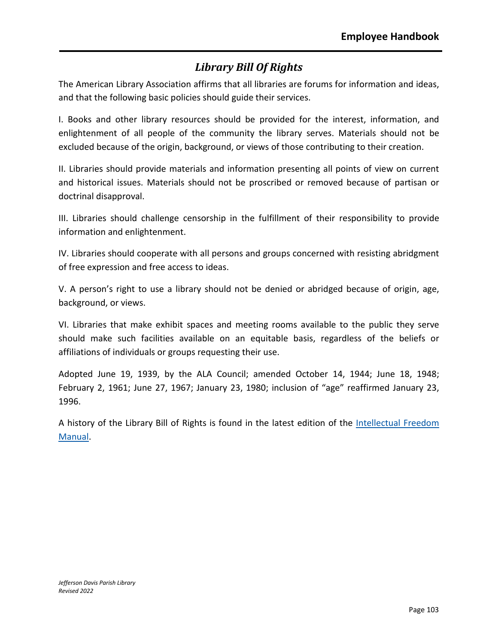# *Library Bill Of Rights*

The American Library Association affirms that all libraries are forums for information and ideas, and that the following basic policies should guide their services.

I. Books and other library resources should be provided for the interest, information, and enlightenment of all people of the community the library serves. Materials should not be excluded because of the origin, background, or views of those contributing to their creation.

II. Libraries should provide materials and information presenting all points of view on current and historical issues. Materials should not be proscribed or removed because of partisan or doctrinal disapproval.

III. Libraries should challenge censorship in the fulfillment of their responsibility to provide information and enlightenment.

IV. Libraries should cooperate with all persons and groups concerned with resisting abridgment of free expression and free access to ideas.

V. A person's right to use a library should not be denied or abridged because of origin, age, background, or views.

VI. Libraries that make exhibit spaces and meeting rooms available to the public they serve should make such facilities available on an equitable basis, regardless of the beliefs or affiliations of individuals or groups requesting their use.

Adopted June 19, 1939, by the ALA Council; amended October 14, 1944; June 18, 1948; February 2, 1961; June 27, 1967; January 23, 1980; inclusion of "age" reaffirmed January 23, 1996.

A history of the Library Bill of Rights is found in the latest edition of the [Intellectual Freedom](http://www.ala.org/advocacy/intfreedom/iftoolkits/ifmanual/intellectual) [Manual.](http://www.ala.org/advocacy/intfreedom/iftoolkits/ifmanual/intellectual)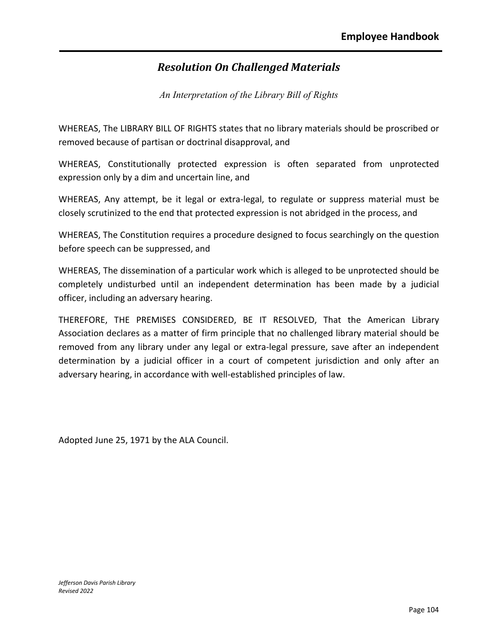# *Resolution On Challenged Materials*

*An Interpretation of the Library Bill of Rights*

WHEREAS, The LIBRARY BILL OF RIGHTS states that no library materials should be proscribed or removed because of partisan or doctrinal disapproval, and

WHEREAS, Constitutionally protected expression is often separated from unprotected expression only by a dim and uncertain line, and

WHEREAS, Any attempt, be it legal or extra-legal, to regulate or suppress material must be closely scrutinized to the end that protected expression is not abridged in the process, and

WHEREAS, The Constitution requires a procedure designed to focus searchingly on the question before speech can be suppressed, and

WHEREAS, The dissemination of a particular work which is alleged to be unprotected should be completely undisturbed until an independent determination has been made by a judicial officer, including an adversary hearing.

THEREFORE, THE PREMISES CONSIDERED, BE IT RESOLVED, That the American Library Association declares as a matter of firm principle that no challenged library material should be removed from any library under any legal or extra-legal pressure, save after an independent determination by a judicial officer in a court of competent jurisdiction and only after an adversary hearing, in accordance with well-established principles of law.

Adopted June 25, 1971 by the ALA Council.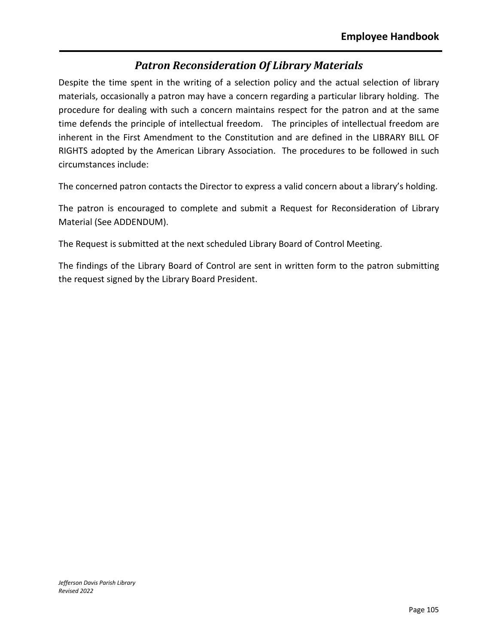## *Patron Reconsideration Of Library Materials*

Despite the time spent in the writing of a selection policy and the actual selection of library materials, occasionally a patron may have a concern regarding a particular library holding. The procedure for dealing with such a concern maintains respect for the patron and at the same time defends the principle of intellectual freedom. The principles of intellectual freedom are inherent in the First Amendment to the Constitution and are defined in the LIBRARY BILL OF RIGHTS adopted by the American Library Association. The procedures to be followed in such circumstances include:

The concerned patron contacts the Director to express a valid concern about a library's holding.

The patron is encouraged to complete and submit a Request for Reconsideration of Library Material (See ADDENDUM).

The Request is submitted at the next scheduled Library Board of Control Meeting.

The findings of the Library Board of Control are sent in written form to the patron submitting the request signed by the Library Board President.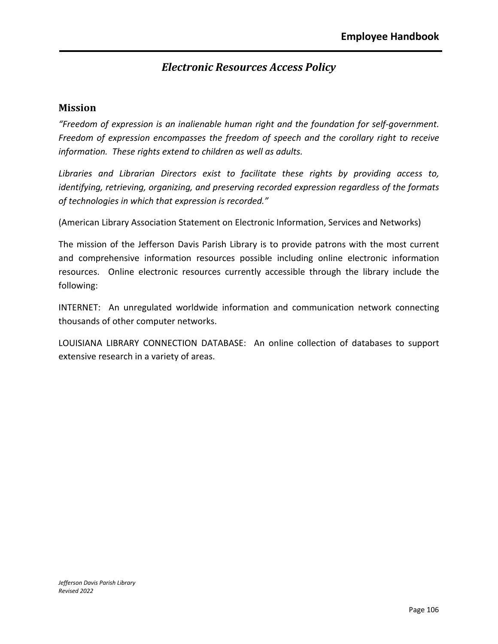## *Electronic Resources Access Policy*

#### **Mission**

*"Freedom of expression is an inalienable human right and the foundation for self-government. Freedom of expression encompasses the freedom of speech and the corollary right to receive information. These rights extend to children as well as adults.*

*Libraries and Librarian Directors exist to facilitate these rights by providing access to, identifying, retrieving, organizing, and preserving recorded expression regardless of the formats of technologies in which that expression is recorded."*

(American Library Association Statement on Electronic Information, Services and Networks)

The mission of the Jefferson Davis Parish Library is to provide patrons with the most current and comprehensive information resources possible including online electronic information resources. Online electronic resources currently accessible through the library include the following:

INTERNET: An unregulated worldwide information and communication network connecting thousands of other computer networks.

LOUISIANA LIBRARY CONNECTION DATABASE: An online collection of databases to support extensive research in a variety of areas.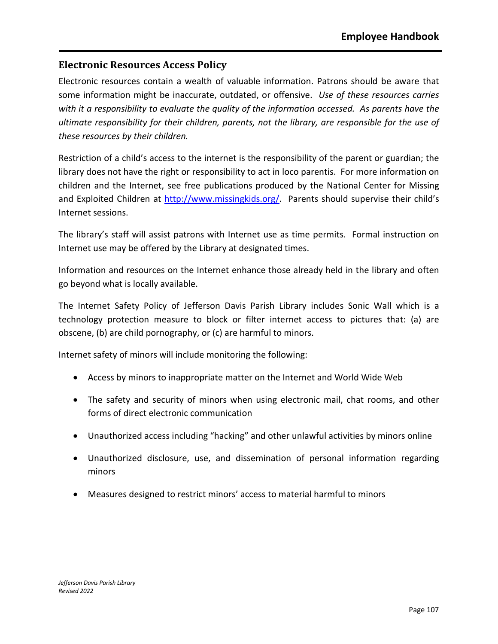### **Electronic Resources Access Policy**

Electronic resources contain a wealth of valuable information. Patrons should be aware that some information might be inaccurate, outdated, or offensive. *Use of these resources carries with it a responsibility to evaluate the quality of the information accessed. As parents have the ultimate responsibility for their children, parents, not the library, are responsible for the use of these resources by their children.*

Restriction of a child's access to the internet is the responsibility of the parent or guardian; the library does not have the right or responsibility to act in loco parentis. For more information on children and the Internet, see free publications produced by the National Center for Missing and Exploited Children at [http://www.missingkids.org/.](http://www.missingkids.org/home) Parents should supervise their child's Internet sessions.

The library's staff will assist patrons with Internet use as time permits. Formal instruction on Internet use may be offered by the Library at designated times.

Information and resources on the Internet enhance those already held in the library and often go beyond what is locally available.

The Internet Safety Policy of Jefferson Davis Parish Library includes Sonic Wall which is a technology protection measure to block or filter internet access to pictures that: (a) are obscene, (b) are child pornography, or (c) are harmful to minors.

Internet safety of minors will include monitoring the following:

- Access by minors to inappropriate matter on the Internet and World Wide Web
- The safety and security of minors when using electronic mail, chat rooms, and other forms of direct electronic communication
- Unauthorized access including "hacking" and other unlawful activities by minors online
- Unauthorized disclosure, use, and dissemination of personal information regarding minors
- Measures designed to restrict minors' access to material harmful to minors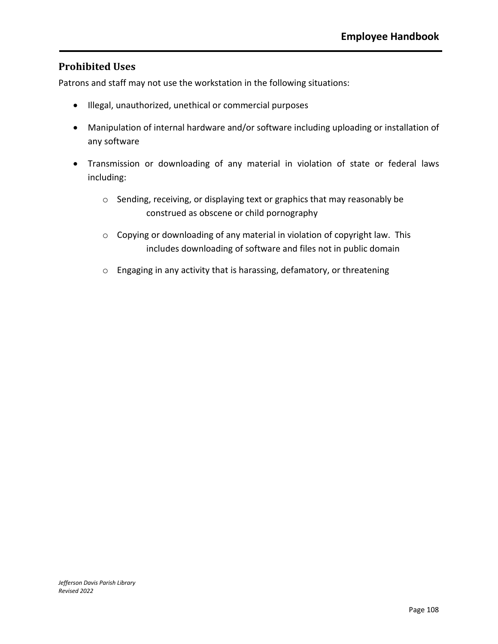### **Prohibited Uses**

Patrons and staff may not use the workstation in the following situations:

- Illegal, unauthorized, unethical or commercial purposes
- Manipulation of internal hardware and/or software including uploading or installation of any software
- Transmission or downloading of any material in violation of state or federal laws including:
	- o Sending, receiving, or displaying text or graphics that may reasonably be construed as obscene or child pornography
	- o Copying or downloading of any material in violation of copyright law. This includes downloading of software and files not in public domain
	- o Engaging in any activity that is harassing, defamatory, or threatening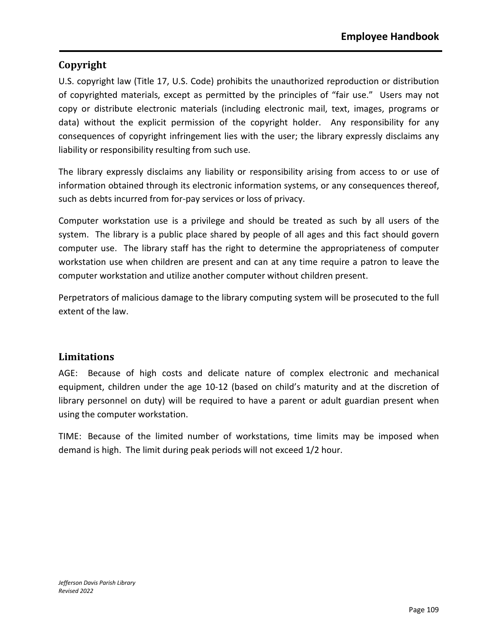### **Copyright**

U.S. copyright law (Title 17, U.S. Code) prohibits the unauthorized reproduction or distribution of copyrighted materials, except as permitted by the principles of "fair use." Users may not copy or distribute electronic materials (including electronic mail, text, images, programs or data) without the explicit permission of the copyright holder. Any responsibility for any consequences of copyright infringement lies with the user; the library expressly disclaims any liability or responsibility resulting from such use.

The library expressly disclaims any liability or responsibility arising from access to or use of information obtained through its electronic information systems, or any consequences thereof, such as debts incurred from for-pay services or loss of privacy.

Computer workstation use is a privilege and should be treated as such by all users of the system. The library is a public place shared by people of all ages and this fact should govern computer use. The library staff has the right to determine the appropriateness of computer workstation use when children are present and can at any time require a patron to leave the computer workstation and utilize another computer without children present.

Perpetrators of malicious damage to the library computing system will be prosecuted to the full extent of the law.

### **Limitations**

AGE: Because of high costs and delicate nature of complex electronic and mechanical equipment, children under the age 10-12 (based on child's maturity and at the discretion of library personnel on duty) will be required to have a parent or adult guardian present when using the computer workstation.

TIME: Because of the limited number of workstations, time limits may be imposed when demand is high. The limit during peak periods will not exceed 1/2 hour.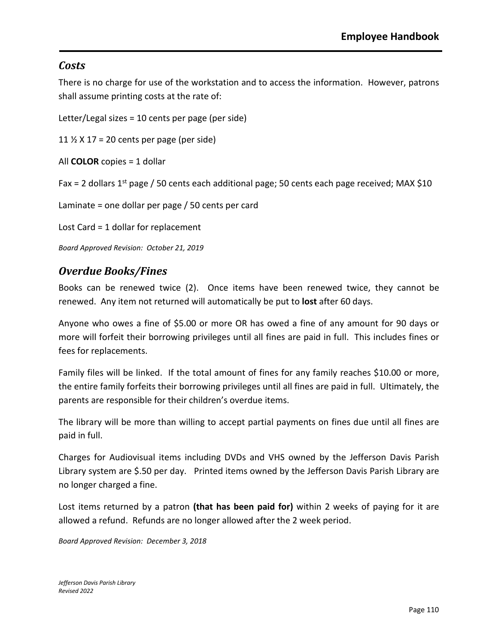### *Costs*

There is no charge for use of the workstation and to access the information. However, patrons shall assume printing costs at the rate of:

Letter/Legal sizes = 10 cents per page (per side)

11  $\frac{1}{2}$  X 17 = 20 cents per page (per side)

All **COLOR** copies = 1 dollar

Fax = 2 dollars  $1^{st}$  page / 50 cents each additional page; 50 cents each page received; MAX \$10

Laminate = one dollar per page / 50 cents per card

Lost Card = 1 dollar for replacement

*Board Approved Revision: October 21, 2019*

### *Overdue Books/Fines*

Books can be renewed twice (2). Once items have been renewed twice, they cannot be renewed. Any item not returned will automatically be put to **lost** after 60 days.

Anyone who owes a fine of \$5.00 or more OR has owed a fine of any amount for 90 days or more will forfeit their borrowing privileges until all fines are paid in full. This includes fines or fees for replacements.

Family files will be linked. If the total amount of fines for any family reaches \$10.00 or more, the entire family forfeits their borrowing privileges until all fines are paid in full. Ultimately, the parents are responsible for their children's overdue items.

The library will be more than willing to accept partial payments on fines due until all fines are paid in full.

Charges for Audiovisual items including DVDs and VHS owned by the Jefferson Davis Parish Library system are \$.50 per day. Printed items owned by the Jefferson Davis Parish Library are no longer charged a fine.

Lost items returned by a patron **(that has been paid for)** within 2 weeks of paying for it are allowed a refund. Refunds are no longer allowed after the 2 week period.

*Board Approved Revision: December 3, 2018*

*Jefferson Davis Parish Library Revised 2022*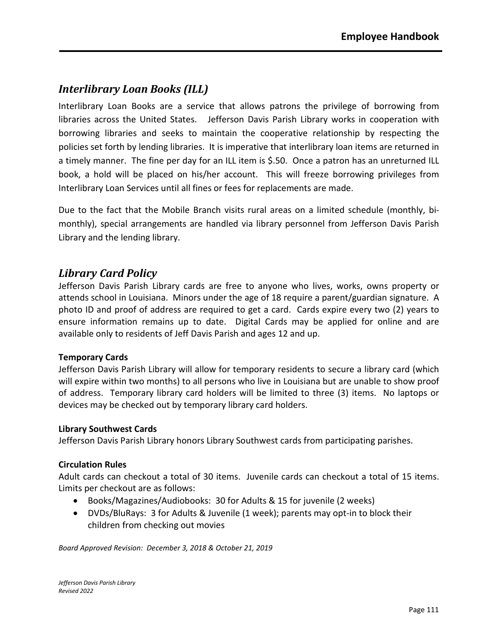# *Interlibrary Loan Books (ILL)*

Interlibrary Loan Books are a service that allows patrons the privilege of borrowing from libraries across the United States. Jefferson Davis Parish Library works in cooperation with borrowing libraries and seeks to maintain the cooperative relationship by respecting the policies set forth by lending libraries. It is imperative that interlibrary loan items are returned in a timely manner. The fine per day for an ILL item is \$.50. Once a patron has an unreturned ILL book, a hold will be placed on his/her account. This will freeze borrowing privileges from Interlibrary Loan Services until all fines or fees for replacements are made.

Due to the fact that the Mobile Branch visits rural areas on a limited schedule (monthly, bimonthly), special arrangements are handled via library personnel from Jefferson Davis Parish Library and the lending library.

### *Library Card Policy*

Jefferson Davis Parish Library cards are free to anyone who lives, works, owns property or attends school in Louisiana. Minors under the age of 18 require a parent/guardian signature. A photo ID and proof of address are required to get a card. Cards expire every two (2) years to ensure information remains up to date. Digital Cards may be applied for online and are available only to residents of Jeff Davis Parish and ages 12 and up.

### **Temporary Cards**

Jefferson Davis Parish Library will allow for temporary residents to secure a library card (which will expire within two months) to all persons who live in Louisiana but are unable to show proof of address. Temporary library card holders will be limited to three (3) items. No laptops or devices may be checked out by temporary library card holders.

#### **Library Southwest Cards**

Jefferson Davis Parish Library honors Library Southwest cards from participating parishes.

#### **Circulation Rules**

Adult cards can checkout a total of 30 items. Juvenile cards can checkout a total of 15 items. Limits per checkout are as follows:

- Books/Magazines/Audiobooks: 30 for Adults & 15 for juvenile (2 weeks)
- DVDs/BluRays: 3 for Adults & Juvenile (1 week); parents may opt-in to block their children from checking out movies

*Board Approved Revision: December 3, 2018 & October 21, 2019*

*Jefferson Davis Parish Library Revised 2022*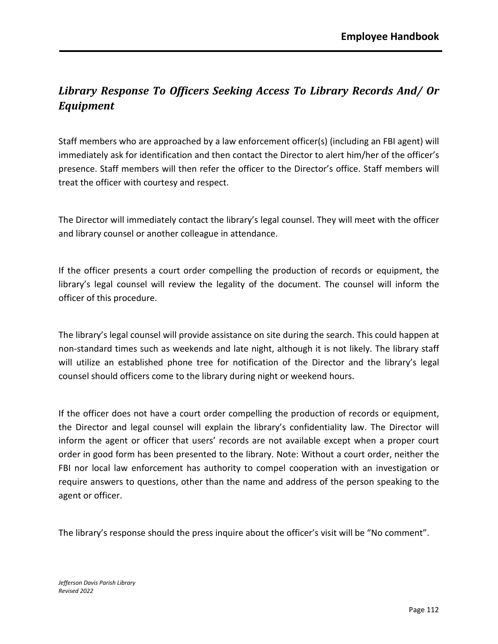# *Library Response To Officers Seeking Access To Library Records And/ Or Equipment*

Staff members who are approached by a law enforcement officer(s) (including an FBI agent) will immediately ask for identification and then contact the Director to alert him/her of the officer's presence. Staff members will then refer the officer to the Director's office. Staff members will treat the officer with courtesy and respect.

The Director will immediately contact the library's legal counsel. They will meet with the officer and library counsel or another colleague in attendance.

If the officer presents a court order compelling the production of records or equipment, the library's legal counsel will review the legality of the document. The counsel will inform the officer of this procedure.

The library's legal counsel will provide assistance on site during the search. This could happen at non-standard times such as weekends and late night, although it is not likely. The library staff will utilize an established phone tree for notification of the Director and the library's legal counsel should officers come to the library during night or weekend hours.

If the officer does not have a court order compelling the production of records or equipment, the Director and legal counsel will explain the library's confidentiality law. The Director will inform the agent or officer that users' records are not available except when a proper court order in good form has been presented to the library. Note: Without a court order, neither the FBI nor local law enforcement has authority to compel cooperation with an investigation or require answers to questions, other than the name and address of the person speaking to the agent or officer.

The library's response should the press inquire about the officer's visit will be "No comment".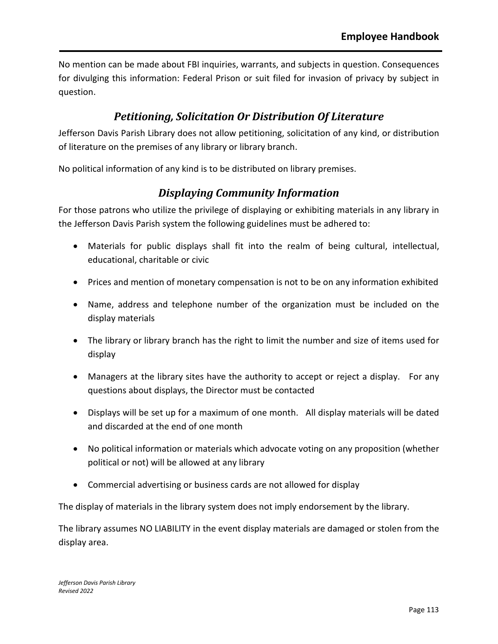No mention can be made about FBI inquiries, warrants, and subjects in question. Consequences for divulging this information: Federal Prison or suit filed for invasion of privacy by subject in question.

## *Petitioning, Solicitation Or Distribution Of Literature*

Jefferson Davis Parish Library does not allow petitioning, solicitation of any kind, or distribution of literature on the premises of any library or library branch.

No political information of any kind is to be distributed on library premises.

# *Displaying Community Information*

For those patrons who utilize the privilege of displaying or exhibiting materials in any library in the Jefferson Davis Parish system the following guidelines must be adhered to:

- Materials for public displays shall fit into the realm of being cultural, intellectual, educational, charitable or civic
- Prices and mention of monetary compensation is not to be on any information exhibited
- Name, address and telephone number of the organization must be included on the display materials
- The library or library branch has the right to limit the number and size of items used for display
- Managers at the library sites have the authority to accept or reject a display. For any questions about displays, the Director must be contacted
- Displays will be set up for a maximum of one month. All display materials will be dated and discarded at the end of one month
- No political information or materials which advocate voting on any proposition (whether political or not) will be allowed at any library
- Commercial advertising or business cards are not allowed for display

The display of materials in the library system does not imply endorsement by the library.

The library assumes NO LIABILITY in the event display materials are damaged or stolen from the display area.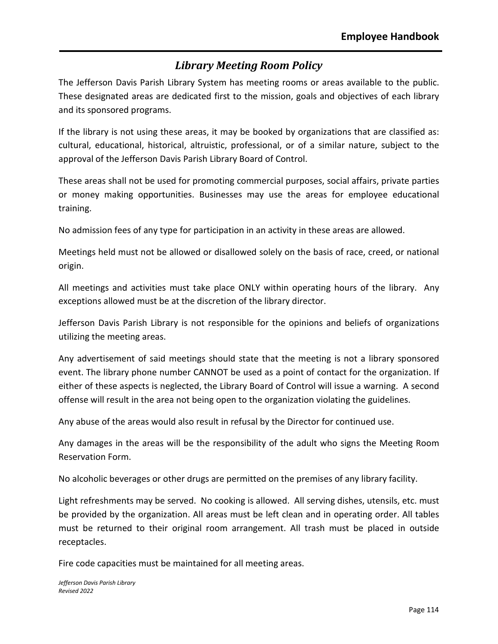# *Library Meeting Room Policy*

The Jefferson Davis Parish Library System has meeting rooms or areas available to the public. These designated areas are dedicated first to the mission, goals and objectives of each library and its sponsored programs.

If the library is not using these areas, it may be booked by organizations that are classified as: cultural, educational, historical, altruistic, professional, or of a similar nature, subject to the approval of the Jefferson Davis Parish Library Board of Control.

These areas shall not be used for promoting commercial purposes, social affairs, private parties or money making opportunities. Businesses may use the areas for employee educational training.

No admission fees of any type for participation in an activity in these areas are allowed.

Meetings held must not be allowed or disallowed solely on the basis of race, creed, or national origin.

All meetings and activities must take place ONLY within operating hours of the library. Any exceptions allowed must be at the discretion of the library director.

Jefferson Davis Parish Library is not responsible for the opinions and beliefs of organizations utilizing the meeting areas.

Any advertisement of said meetings should state that the meeting is not a library sponsored event. The library phone number CANNOT be used as a point of contact for the organization. If either of these aspects is neglected, the Library Board of Control will issue a warning. A second offense will result in the area not being open to the organization violating the guidelines.

Any abuse of the areas would also result in refusal by the Director for continued use.

Any damages in the areas will be the responsibility of the adult who signs the Meeting Room Reservation Form.

No alcoholic beverages or other drugs are permitted on the premises of any library facility.

Light refreshments may be served. No cooking is allowed. All serving dishes, utensils, etc. must be provided by the organization. All areas must be left clean and in operating order. All tables must be returned to their original room arrangement. All trash must be placed in outside receptacles.

Fire code capacities must be maintained for all meeting areas.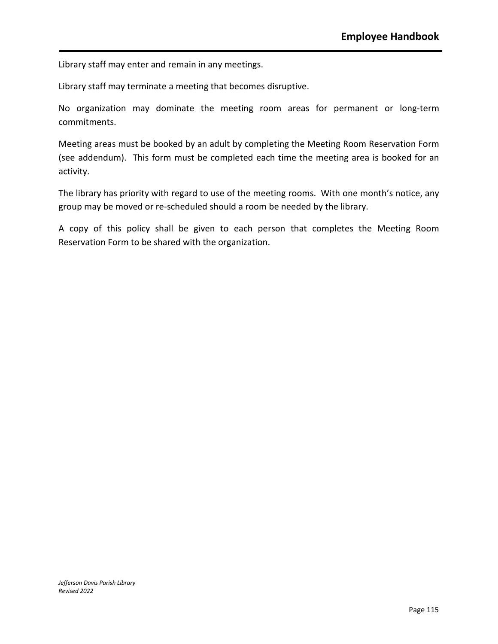Library staff may enter and remain in any meetings.

Library staff may terminate a meeting that becomes disruptive.

No organization may dominate the meeting room areas for permanent or long-term commitments.

Meeting areas must be booked by an adult by completing the Meeting Room Reservation Form (see addendum). This form must be completed each time the meeting area is booked for an activity.

The library has priority with regard to use of the meeting rooms. With one month's notice, any group may be moved or re-scheduled should a room be needed by the library.

A copy of this policy shall be given to each person that completes the Meeting Room Reservation Form to be shared with the organization.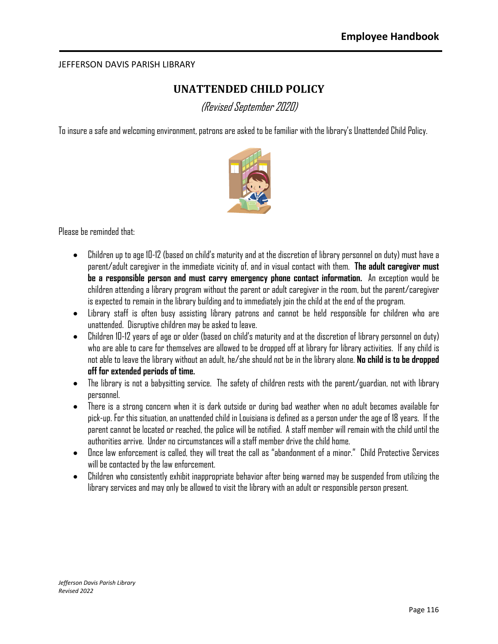#### JEFFERSON DAVIS PARISH LIBRARY

# **UNATTENDED CHILD POLICY**

(Revised September 2020)

To insure a safe and welcomingenvironment, patrons are asked to be familiar with the library's Unattended Child Policy.



Please be reminded that:

- Children up to age 10-12 (based on child's maturity and at the discretion of library personnel on duty) must have a parent/adult caregiver in the immediate vicinity of, and in visual contact with them. **The adult caregiver must be a responsible person and must carry emergency phone contact information.** An exception would be children attending a library program without the parent or adult caregiver in the room, but the parent/caregiver is expected to remain in the library building and to immediately join the child at the end of the program.
- Library staff is often busy assisting library patrons and cannot be held responsible for children who are unattended. Disruptive children may be asked to leave.
- $\bullet$  Children 10-12 years of age or older (based on child's maturity and at the discretion of library personnel on duty) who are able to care for themselves are allowed to be dropped off at library for library activities. If any child is not able to leave the library without an adult, he/she should not be in the library alone. **No child is to be dropped off for extended periods of time.**
- The library is not a babysitting service. The safety of children rests with the parent/guardian, not with library personnel.
- There is a strong concern when it is dark outside or during bad weather when no adult becomes available for pick-up. For this situation, an unattended child in Louisiana is defined as a person under the age of 18 years. If the parent cannot be located or reached, the police will be notified. A staff member will remain with the child until the authorities arrive. Under no circumstances will a staff member drive the child home.
- Once law enforcement is called, they will treat the call as "abandonment of a minor." Child Protective Services will be contacted by the law enforcement.
- $\bullet$  Children who consistently exhibit inappropriate behavior after being warned may be suspended from utilizing the library services and may only be allowed to visit the library with an adult or responsible person present.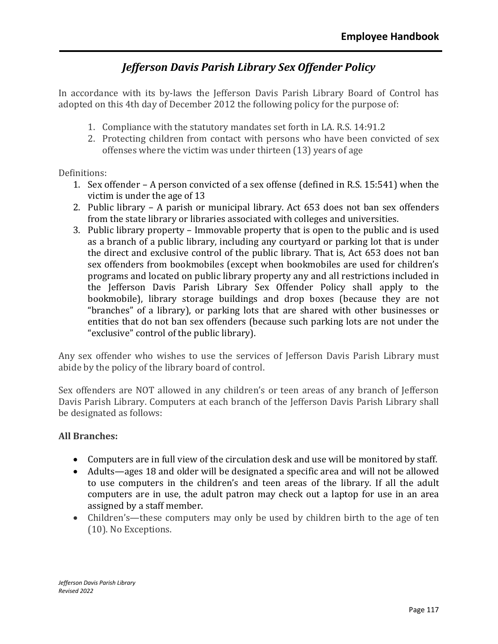# *Jefferson Davis Parish Library Sex Offender Policy*

In accordance with its by-laws the Jefferson Davis Parish Library Board of Control has adopted on this 4th day of December 2012 the following policy for the purpose of:

- 1. Compliance with the statutory mandates set forth in LA. R.S. 14:91.2
- 2. Protecting children from contact with persons who have been convicted of sex offenses where the victim was under thirteen (13) years of age

#### Definitions:

- 1. Sex offender A person convicted of a sex offense (defined in R.S. 15:541) when the victim is under the age of 13
- 2. Public library A parish or municipal library. Act 653 does not ban sex offenders from the state library or libraries associated with colleges and universities.
- 3. Public library property Immovable property that is open to the public and is used as a branch of a public library, including any courtyard or parking lot that is under the direct and exclusive control of the public library. That is, Act 653 does not ban sex offenders from bookmobiles (except when bookmobiles are used for children's programs and located on public library property any and all restrictions included in the Jefferson Davis Parish Library Sex Offender Policy shall apply to the bookmobile), library storage buildings and drop boxes (because they are not "branches" of a library), or parking lots that are shared with other businesses or entities that do not ban sex offenders (because such parking lots are not under the "exclusive" control of the public library).

Any sex offender who wishes to use the services of Jefferson Davis Parish Library must abide by the policy of the library board of control.

Sex offenders are NOT allowed in any children's or teen areas of any branch of Jefferson Davis Parish Library. Computers at each branch of the Jefferson Davis Parish Library shall be designated as follows:

#### **All Branches:**

- Computers are in full view of the circulation desk and use will be monitored by staff.
- Adults—ages 18 and older will be designated a specific area and will not be allowed to use computers in the children's and teen areas of the library. If all the adult computers are in use, the adult patron may check out a laptop for use in an area assigned by a staff member.
- Children's—these computers may only be used by children birth to the age of ten (10). No Exceptions.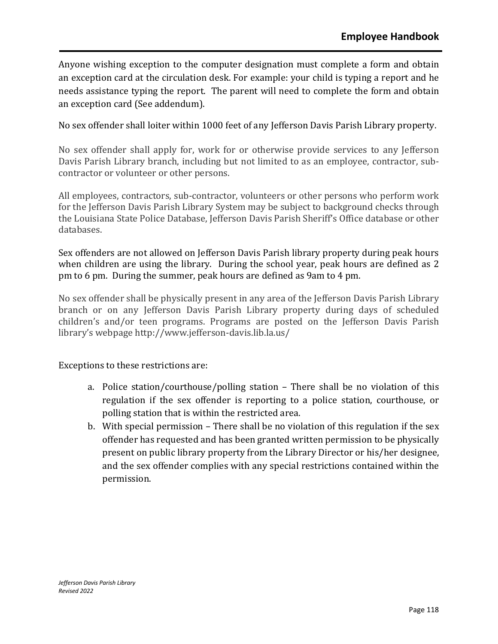Anyone wishing exception to the computer designation must complete a form and obtain an exception card at the circulation desk. For example: your child is typing a report and he needs assistance typing the report. The parent will need to complete the form and obtain an exception card (See addendum).

No sex offender shall loiter within 1000 feet of any Jefferson Davis Parish Library property.

No sex offender shall apply for, work for or otherwise provide services to any Jefferson Davis Parish Library branch, including but not limited to as an employee, contractor, subcontractor or volunteer or other persons.

All employees, contractors, sub-contractor, volunteers or other persons who perform work for the Jefferson Davis Parish Library System may be subject to background checks through the Louisiana State Police Database, Jefferson Davis Parish Sheriff's Office database or other databases.

Sex offenders are not allowed on Jefferson Davis Parish library property during peak hours when children are using the library. During the school year, peak hours are defined as 2 pm to 6 pm. During the summer, peak hours are defined as 9am to 4 pm.

No sex offender shall be physically present in any area of the Jefferson Davis Parish Library branch or on any Jefferson Davis Parish Library property during days of scheduled children's and/or teen programs. Programs are posted on the Jefferson Davis Parish library's webpage http://www.jefferson-davis.lib.la.us/

Exceptions to these restrictions are:

- a. Police station/courthouse/polling station There shall be no violation of this regulation if the sex offender is reporting to a police station, courthouse, or polling station that is within the restricted area.
- b. With special permission There shall be no violation of this regulation if the sex offender has requested and has been granted written permission to be physically present on public library property from the Library Director or his/her designee, and the sex offender complies with any special restrictions contained within the permission.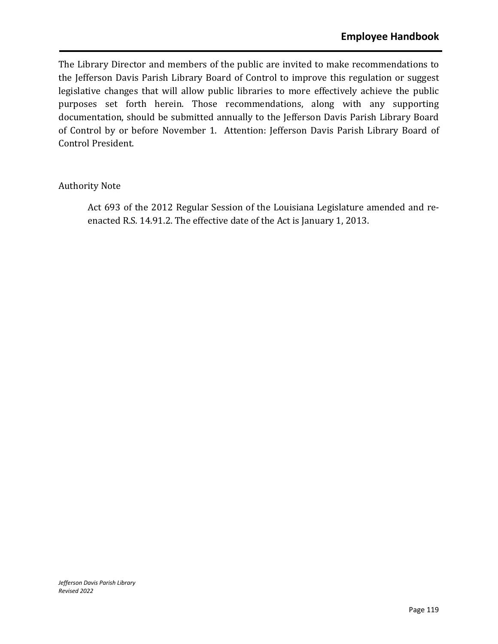The Library Director and members of the public are invited to make recommendations to the Jefferson Davis Parish Library Board of Control to improve this regulation or suggest legislative changes that will allow public libraries to more effectively achieve the public purposes set forth herein. Those recommendations, along with any supporting documentation, should be submitted annually to the Jefferson Davis Parish Library Board of Control by or before November 1. Attention: Jefferson Davis Parish Library Board of Control President.

### Authority Note

Act 693 of the 2012 Regular Session of the Louisiana Legislature amended and reenacted R.S. 14.91.2. The effective date of the Act is January 1, 2013.